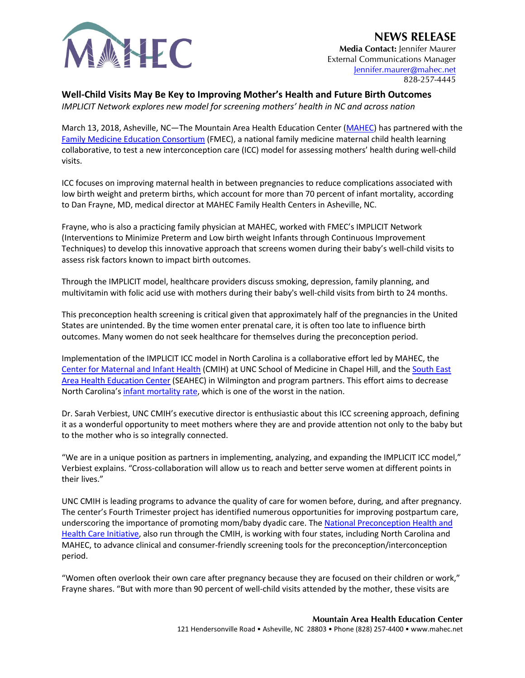

## **NEWS RELEASE**

**Media Contact:** Jennifer Maurer External Communications Manager [Jennifer.maurer@mahec.net](mailto:Jennifer.maurer@mahec.net) 828-257-4445

## **Well-Child Visits May Be Key to Improving Mother's Health and Future Birth Outcomes**

*IMPLICIT Network explores new model for screening mothers' health in NC and across nation*

March 13, 2018, Asheville, NC—The Mountain Area Health Education Center [\(MAHEC\)](https://mahec.net/) has partnered with the [Family Medicine Education Consortium](http://www.fmec.net/implicit) (FMEC), a national family medicine maternal child health learning collaborative, to test a new interconception care (ICC) model for assessing mothers' health during well-child visits.

ICC focuses on improving maternal health in between pregnancies to reduce complications associated with low birth weight and preterm births, which account for more than 70 percent of infant mortality, according to Dan Frayne, MD, medical director at MAHEC Family Health Centers in Asheville, NC.

Frayne, who is also a practicing family physician at MAHEC, worked with FMEC's IMPLICIT Network (Interventions to Minimize Preterm and Low birth weight Infants through Continuous Improvement Techniques) to develop this innovative approach that screens women during their baby's well-child visits to assess risk factors known to impact birth outcomes.

Through the IMPLICIT model, healthcare providers discuss smoking, depression, family planning, and multivitamin with folic acid use with mothers during their baby's well-child visits from birth to 24 months.

This preconception health screening is critical given that approximately half of the pregnancies in the United States are unintended. By the time women enter prenatal care, it is often too late to influence birth outcomes. Many women do not seek healthcare for themselves during the preconception period.

Implementation of the IMPLICIT ICC model in North Carolina is a collaborative effort led by MAHEC, the [Center for Maternal and Infant Health](https://www.mombaby.org/) (CMIH) at UNC School of Medicine in Chapel Hill, and the [South East](https://www.seahec.net/)  [Area Health Education Center](https://www.seahec.net/) (SEAHEC) in Wilmington and program partners. This effort aims to decrease North Carolina'[s infant mortality rate,](https://www.northcarolinahealthnews.org/2016/10/21/nc-infant-mortality-rate-remains-stubbornly-high/) which is one of the worst in the nation.

Dr. Sarah Verbiest, UNC CMIH's executive director is enthusiastic about this ICC screening approach, defining it as a wonderful opportunity to meet mothers where they are and provide attention not only to the baby but to the mother who is so integrally connected.

"We are in a unique position as partners in implementing, analyzing, and expanding the IMPLICIT ICC model," Verbiest explains. "Cross-collaboration will allow us to reach and better serve women at different points in their lives."

UNC CMIH is leading programs to advance the quality of care for women before, during, and after pregnancy. The center's Fourth Trimester project has identified numerous opportunities for improving postpartum care, underscoring the importance of promoting mom/baby dyadic care. Th[e National Preconception Health and](https://beforeandbeyond.org/about-us/)  [Health Care Initiative,](https://beforeandbeyond.org/about-us/) also run through the CMIH, is working with four states, including North Carolina and MAHEC, to advance clinical and consumer-friendly screening tools for the preconception/interconception period.

"Women often overlook their own care after pregnancy because they are focused on their children or work," Frayne shares. "But with more than 90 percent of well-child visits attended by the mother, these visits are

> **Mountain Area Health Education Center** 121 Hendersonville Road • Asheville, NC 28803 • Phone (828) 257-4400 • www.mahec.net